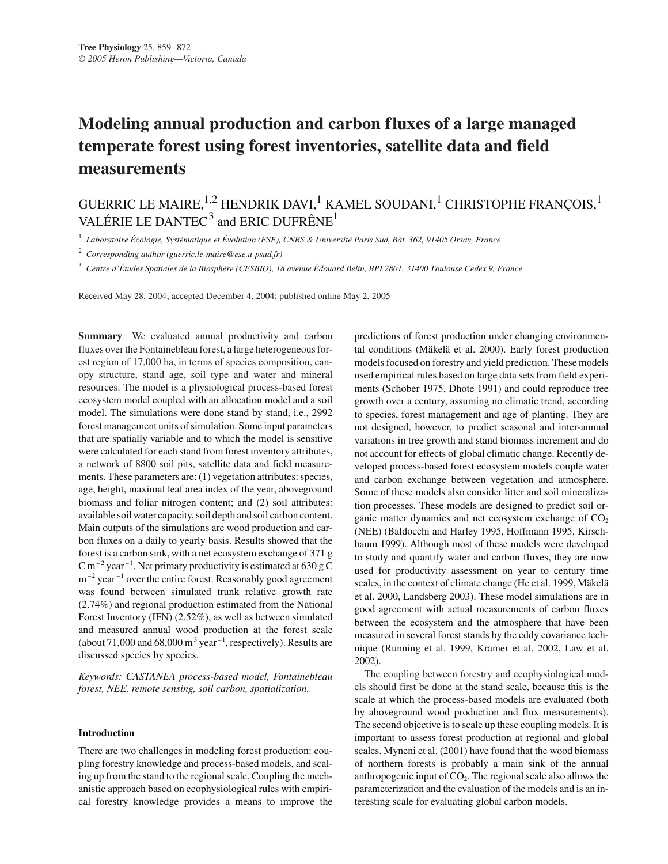# **Modeling annual production and carbon fluxes of a large managed temperate forest using forest inventories, satellite data and field measurements**

## GUERRIC LE MAIRE,  $^{1,2}$  HENDRIK DAVI,  $^{1}$  KAMEL SOUDANI,  $^{1}$  CHRISTOPHE FRANÇOIS,  $^{1}$ VALÉRIE LE DANTEC<sup>3</sup> and ERIC DUFRÊNE<sup>1</sup>

<sup>1</sup> *Laboratoire Écologie, Systématique et Évolution (ESE), CNRS & Université Paris Sud, Bât. 362, 91405 Orsay, France*

<sup>2</sup> *Corresponding author (guerric.le-maire@ese.u-psud.fr)*

<sup>3</sup> *Centre d'Études Spatiales de la Biosphère (CESBIO), 18 avenue Édouard Belin, BPI 2801, 31400 Toulouse Cedex 9, France*

Received May 28, 2004; accepted December 4, 2004; published online May 2, 2005

**Summary** We evaluated annual productivity and carbon fluxes over the Fontainebleau forest, a large heterogeneous forest region of 17,000 ha, in terms of species composition, canopy structure, stand age, soil type and water and mineral resources. The model is a physiological process-based forest ecosystem model coupled with an allocation model and a soil model. The simulations were done stand by stand, i.e., 2992 forest management units of simulation. Some input parameters that are spatially variable and to which the model is sensitive were calculated for each stand from forest inventory attributes, a network of 8800 soil pits, satellite data and field measurements. These parameters are: (1) vegetation attributes: species, age, height, maximal leaf area index of the year, aboveground biomass and foliar nitrogen content; and (2) soil attributes: available soil water capacity, soil depth and soil carbon content. Main outputs of the simulations are wood production and carbon fluxes on a daily to yearly basis. Results showed that the forest is a carbon sink, with a net ecosystem exchange of 371 g C m<sup>-2</sup> year<sup>-1</sup>. Net primary productivity is estimated at  $630 \text{ g C}$  $m^{-2}$  year<sup> $-1$ </sup> over the entire forest. Reasonably good agreement was found between simulated trunk relative growth rate (2.74%) and regional production estimated from the National Forest Inventory (IFN) (2.52%), as well as between simulated and measured annual wood production at the forest scale (about 71,000 and 68,000 m<sup>3</sup> year<sup> $-1$ </sup>, respectively). Results are discussed species by species.

*Keywords: CASTANEA process-based model, Fontainebleau forest, NEE, remote sensing, soil carbon, spatialization.*

## **Introduction**

There are two challenges in modeling forest production: coupling forestry knowledge and process-based models, and scaling up from the stand to the regional scale. Coupling the mechanistic approach based on ecophysiological rules with empirical forestry knowledge provides a means to improve the predictions of forest production under changing environmental conditions (Mäkelä et al. 2000). Early forest production models focused on forestry and yield prediction. These models used empirical rules based on large data sets from field experiments (Schober 1975, Dhote 1991) and could reproduce tree growth over a century, assuming no climatic trend, according to species, forest management and age of planting. They are not designed, however, to predict seasonal and inter-annual variations in tree growth and stand biomass increment and do not account for effects of global climatic change. Recently developed process-based forest ecosystem models couple water and carbon exchange between vegetation and atmosphere. Some of these models also consider litter and soil mineralization processes. These models are designed to predict soil organic matter dynamics and net ecosystem exchange of  $CO<sub>2</sub>$ (NEE) (Baldocchi and Harley 1995, Hoffmann 1995, Kirschbaum 1999). Although most of these models were developed to study and quantify water and carbon fluxes, they are now used for productivity assessment on year to century time scales, in the context of climate change (He et al. 1999, Mäkelä et al. 2000, Landsberg 2003). These model simulations are in good agreement with actual measurements of carbon fluxes between the ecosystem and the atmosphere that have been measured in several forest stands by the eddy covariance technique (Running et al. 1999, Kramer et al. 2002, Law et al. 2002).

The coupling between forestry and ecophysiological models should first be done at the stand scale, because this is the scale at which the process-based models are evaluated (both by aboveground wood production and flux measurements). The second objective is to scale up these coupling models. It is important to assess forest production at regional and global scales. Myneni et al. (2001) have found that the wood biomass of northern forests is probably a main sink of the annual anthropogenic input of  $CO<sub>2</sub>$ . The regional scale also allows the parameterization and the evaluation of the models and is an interesting scale for evaluating global carbon models.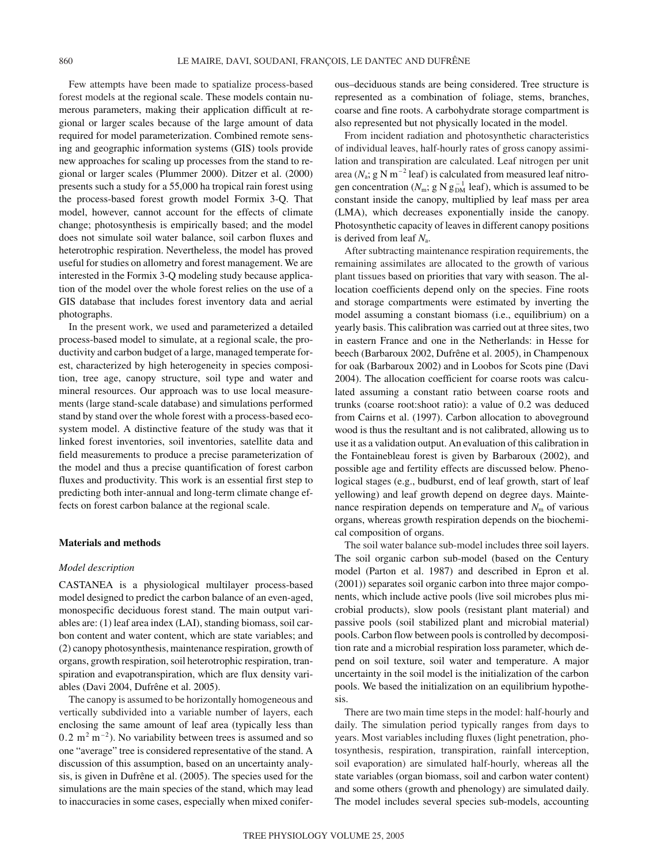Few attempts have been made to spatialize process-based forest models at the regional scale. These models contain numerous parameters, making their application difficult at regional or larger scales because of the large amount of data required for model parameterization. Combined remote sensing and geographic information systems (GIS) tools provide new approaches for scaling up processes from the stand to regional or larger scales (Plummer 2000). Ditzer et al. (2000) presents such a study for a 55,000 ha tropical rain forest using the process-based forest growth model Formix 3-Q. That model, however, cannot account for the effects of climate change; photosynthesis is empirically based; and the model does not simulate soil water balance, soil carbon fluxes and heterotrophic respiration. Nevertheless, the model has proved useful for studies on allometry and forest management. We are interested in the Formix 3-Q modeling study because application of the model over the whole forest relies on the use of a GIS database that includes forest inventory data and aerial photographs.

In the present work, we used and parameterized a detailed process-based model to simulate, at a regional scale, the productivity and carbon budget of a large, managed temperate forest, characterized by high heterogeneity in species composition, tree age, canopy structure, soil type and water and mineral resources. Our approach was to use local measurements (large stand-scale database) and simulations performed stand by stand over the whole forest with a process-based ecosystem model. A distinctive feature of the study was that it linked forest inventories, soil inventories, satellite data and field measurements to produce a precise parameterization of the model and thus a precise quantification of forest carbon fluxes and productivity. This work is an essential first step to predicting both inter-annual and long-term climate change effects on forest carbon balance at the regional scale.

#### **Materials and methods**

#### *Model description*

CASTANEA is a physiological multilayer process-based model designed to predict the carbon balance of an even-aged, monospecific deciduous forest stand. The main output variables are: (1) leaf area index (LAI), standing biomass, soil carbon content and water content, which are state variables; and (2) canopy photosynthesis, maintenance respiration, growth of organs, growth respiration, soil heterotrophic respiration, transpiration and evapotranspiration, which are flux density variables (Davi 2004, Dufrêne et al. 2005).

The canopy is assumed to be horizontally homogeneous and vertically subdivided into a variable number of layers, each enclosing the same amount of leaf area (typically less than  $0.2 \text{ m}^2 \text{ m}^{-2}$ ). No variability between trees is assumed and so one "average" tree is considered representative of the stand. A discussion of this assumption, based on an uncertainty analysis, is given in Dufrêne et al. (2005). The species used for the simulations are the main species of the stand, which may lead to inaccuracies in some cases, especially when mixed coniferous–deciduous stands are being considered. Tree structure is represented as a combination of foliage, stems, branches, coarse and fine roots. A carbohydrate storage compartment is also represented but not physically located in the model.

From incident radiation and photosynthetic characteristics of individual leaves, half-hourly rates of gross canopy assimilation and transpiration are calculated. Leaf nitrogen per unit area ( $N_a$ ; g N m<sup>-2</sup> leaf) is calculated from measured leaf nitrogen concentration ( $N_{\rm m}$ ; g N  $g_{\rm DM}^{-1}$  leaf), which is assumed to be constant inside the canopy, multiplied by leaf mass per area (LMA), which decreases exponentially inside the canopy. Photosynthetic capacity of leaves in different canopy positions is derived from leaf *N*a.

After subtracting maintenance respiration requirements, the remaining assimilates are allocated to the growth of various plant tissues based on priorities that vary with season. The allocation coefficients depend only on the species. Fine roots and storage compartments were estimated by inverting the model assuming a constant biomass (i.e., equilibrium) on a yearly basis. This calibration was carried out at three sites, two in eastern France and one in the Netherlands: in Hesse for beech (Barbaroux 2002, Dufrêne et al. 2005), in Champenoux for oak (Barbaroux 2002) and in Loobos for Scots pine (Davi 2004). The allocation coefficient for coarse roots was calculated assuming a constant ratio between coarse roots and trunks (coarse root:shoot ratio): a value of 0.2 was deduced from Cairns et al. (1997). Carbon allocation to aboveground wood is thus the resultant and is not calibrated, allowing us to use it as a validation output. An evaluation of this calibration in the Fontainebleau forest is given by Barbaroux (2002), and possible age and fertility effects are discussed below. Phenological stages (e.g., budburst, end of leaf growth, start of leaf yellowing) and leaf growth depend on degree days. Maintenance respiration depends on temperature and  $N<sub>m</sub>$  of various organs, whereas growth respiration depends on the biochemical composition of organs.

The soil water balance sub-model includes three soil layers. The soil organic carbon sub-model (based on the Century model (Parton et al. 1987) and described in Epron et al. (2001)) separates soil organic carbon into three major components, which include active pools (live soil microbes plus microbial products), slow pools (resistant plant material) and passive pools (soil stabilized plant and microbial material) pools. Carbon flow between pools is controlled by decomposition rate and a microbial respiration loss parameter, which depend on soil texture, soil water and temperature. A major uncertainty in the soil model is the initialization of the carbon pools. We based the initialization on an equilibrium hypothesis.

There are two main time steps in the model: half-hourly and daily. The simulation period typically ranges from days to years. Most variables including fluxes (light penetration, photosynthesis, respiration, transpiration, rainfall interception, soil evaporation) are simulated half-hourly, whereas all the state variables (organ biomass, soil and carbon water content) and some others (growth and phenology) are simulated daily. The model includes several species sub-models, accounting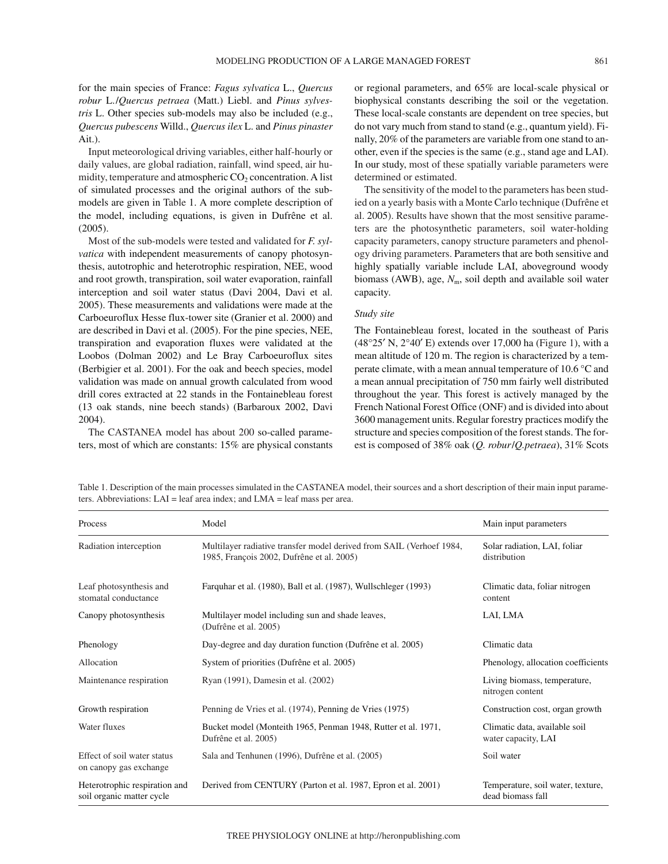for the main species of France: *Fagus sylvatica* L., *Quercus robur* L./*Quercus petraea* (Matt.) Liebl. and *Pinus sylvestris* L. Other species sub-models may also be included (e.g., *Quercus pubescens* Willd., *Quercus ilex* L. and *Pinus pinaster* Ait.).

Input meteorological driving variables, either half-hourly or daily values, are global radiation, rainfall, wind speed, air humidity, temperature and atmospheric  $CO<sub>2</sub>$  concentration. A list of simulated processes and the original authors of the submodels are given in Table 1. A more complete description of the model, including equations, is given in Dufrêne et al. (2005).

Most of the sub-models were tested and validated for *F. sylvatica* with independent measurements of canopy photosynthesis, autotrophic and heterotrophic respiration, NEE, wood and root growth, transpiration, soil water evaporation, rainfall interception and soil water status (Davi 2004, Davi et al. 2005). These measurements and validations were made at the Carboeuroflux Hesse flux-tower site (Granier et al. 2000) and are described in Davi et al. (2005). For the pine species, NEE, transpiration and evaporation fluxes were validated at the Loobos (Dolman 2002) and Le Bray Carboeuroflux sites (Berbigier et al. 2001). For the oak and beech species, model validation was made on annual growth calculated from wood drill cores extracted at 22 stands in the Fontainebleau forest (13 oak stands, nine beech stands) (Barbaroux 2002, Davi 2004).

The CASTANEA model has about 200 so-called parameters, most of which are constants: 15% are physical constants or regional parameters, and 65% are local-scale physical or biophysical constants describing the soil or the vegetation. These local-scale constants are dependent on tree species, but do not vary much from stand to stand (e.g., quantum yield). Finally, 20% of the parameters are variable from one stand to another, even if the species is the same (e.g., stand age and LAI). In our study, most of these spatially variable parameters were determined or estimated.

The sensitivity of the model to the parameters has been studied on a yearly basis with a Monte Carlo technique (Dufrêne et al. 2005). Results have shown that the most sensitive parameters are the photosynthetic parameters, soil water-holding capacity parameters, canopy structure parameters and phenology driving parameters. Parameters that are both sensitive and highly spatially variable include LAI, aboveground woody biomass (AWB), age,  $N<sub>m</sub>$ , soil depth and available soil water capacity.

## *Study site*

The Fontainebleau forest, located in the southeast of Paris  $(48°25' N, 2°40' E)$  extends over 17,000 ha (Figure 1), with a mean altitude of 120 m. The region is characterized by a temperate climate, with a mean annual temperature of 10.6 °C and a mean annual precipitation of 750 mm fairly well distributed throughout the year. This forest is actively managed by the French National Forest Office (ONF) and is divided into about 3600 management units. Regular forestry practices modify the structure and species composition of the forest stands. The forest is composed of 38% oak (*Q. robur*/*Q.petraea*), 31% Scots

Process and Model Model and Main input parameters and Main input parameters and Main input parameters Radiation interception Multilayer radiative transfer model derived from SAIL (Verhoef 1984, Solar radiation, LAI, foliar 1985, François 2002, Dufrêne et al. 2005) distribution Leaf photosynthesis and Farquhar et al. (1980), Ball et al. (1987), Wullschleger (1993) Climatic data, foliar nitrogen stomatal conductance content  $\sim$ Canopy photosynthesis Multilayer model including sun and shade leaves, LAI, LMA (Dufrêne et al. 2005) Phenology Day-degree and day duration function (Dufrêne et al. 2005) Climatic data Allocation System of priorities (Dufrêne et al. 2005) Phenology, allocation coefficients Maintenance respiration Ryan (1991), Damesin et al. (2002) Living biomass, temperature, nitrogen content Growth respiration Penning de Vries et al. (1974), Penning de Vries (1975) Construction cost, organ growth Water fluxes Bucket model (Monteith 1965, Penman 1948, Rutter et al. 1971, Climatic data, available soil Dufrêne et al. 2005) water capacity, LAI Effect of soil water status Sala and Tenhunen (1996), Dufrêne et al. (2005) Soil water on canopy gas exchange Heterotrophic respiration and Derived from CENTURY (Parton et al. 1987, Epron et al. 2001) Temperature, soil water, texture, soil organic matter cycle dead biomass fall

Table 1. Description of the main processes simulated in the CASTANEA model, their sources and a short description of their main input parameters. Abbreviations: LAI = leaf area index; and LMA = leaf mass per area.

| Process                                               | Model                                                                                                             | Main input parameters                                |  |  |
|-------------------------------------------------------|-------------------------------------------------------------------------------------------------------------------|------------------------------------------------------|--|--|
| Radiation interception                                | Multilayer radiative transfer model derived from SAIL (Verhoef 1984,<br>1985, François 2002, Dufrêne et al. 2005) | Solar radiation, LAI, foliar<br>distribution         |  |  |
| Leaf photosynthesis and<br>stomatal conductance       | Farquhar et al. (1980), Ball et al. (1987), Wullschleger (1993)                                                   | Climatic data, foliar nitrogen<br>content            |  |  |
| Canopy photosynthesis                                 | Multilayer model including sun and shade leaves,<br>(Dufrêne et al. 2005)                                         | LAI, LMA                                             |  |  |
| Phenology                                             | Day-degree and day duration function (Dufrêne et al. 2005)                                                        | Climatic data                                        |  |  |
| Allocation                                            | System of priorities (Dufrêne et al. 2005)                                                                        | Phenology, allocation coefficients                   |  |  |
| Maintenance respiration                               | Ryan (1991), Damesin et al. (2002)                                                                                | Living biomass, temperature,<br>nitrogen content     |  |  |
| Growth respiration                                    | Penning de Vries et al. (1974), Penning de Vries (1975)                                                           | Construction cost, organ growth                      |  |  |
| Water fluxes                                          | Bucket model (Monteith 1965, Penman 1948, Rutter et al. 1971,<br>Dufrêne et al. 2005)                             | Climatic data, available soil<br>water capacity, LAI |  |  |
| Effect of soil water status<br>on canopy gas exchange | Sala and Tenhunen (1996), Dufrêne et al. (2005)                                                                   | Soil water                                           |  |  |
| Heterotrophic respiration and                         | Derived from CENTURY (Parton et al. 1987, Epron et al. 2001)                                                      | Temperature, soil water, texture,                    |  |  |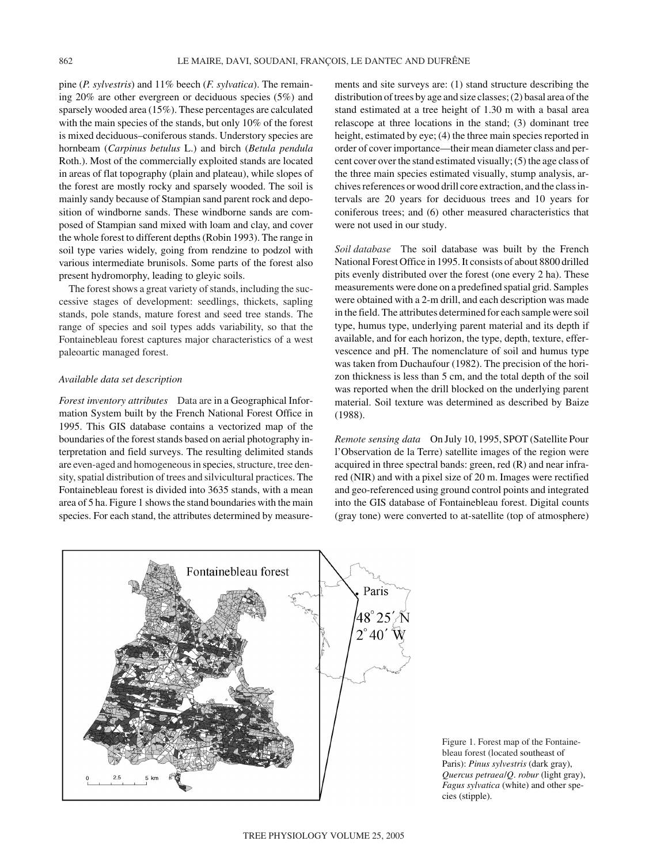pine (*P. sylvestris*) and 11% beech (*F. sylvatica*). The remaining 20% are other evergreen or deciduous species (5%) and sparsely wooded area (15%). These percentages are calculated with the main species of the stands, but only 10% of the forest is mixed deciduous–coniferous stands. Understory species are hornbeam (*Carpinus betulus* L.) and birch (*Betula pendula* Roth.). Most of the commercially exploited stands are located in areas of flat topography (plain and plateau), while slopes of the forest are mostly rocky and sparsely wooded. The soil is mainly sandy because of Stampian sand parent rock and deposition of windborne sands. These windborne sands are composed of Stampian sand mixed with loam and clay, and cover the whole forest to different depths (Robin 1993). The range in soil type varies widely, going from rendzine to podzol with various intermediate brunisols. Some parts of the forest also present hydromorphy, leading to gleyic soils.

The forest shows a great variety of stands, including the successive stages of development: seedlings, thickets, sapling stands, pole stands, mature forest and seed tree stands. The range of species and soil types adds variability, so that the Fontainebleau forest captures major characteristics of a west paleoartic managed forest.

## *Available data set description*

*Forest inventory attributes* Data are in a Geographical Information System built by the French National Forest Office in 1995. This GIS database contains a vectorized map of the boundaries of the forest stands based on aerial photography interpretation and field surveys. The resulting delimited stands are even-aged and homogeneous in species, structure, tree density, spatial distribution of trees and silvicultural practices. The Fontainebleau forest is divided into 3635 stands, with a mean area of 5 ha. Figure 1 shows the stand boundaries with the main species. For each stand, the attributes determined by measurements and site surveys are: (1) stand structure describing the distribution of trees by age and size classes; (2) basal area of the stand estimated at a tree height of 1.30 m with a basal area relascope at three locations in the stand; (3) dominant tree height, estimated by eye; (4) the three main species reported in order of cover importance—their mean diameter class and percent cover over the stand estimated visually; (5) the age class of the three main species estimated visually, stump analysis, archives references or wood drill core extraction, and the class intervals are 20 years for deciduous trees and 10 years for coniferous trees; and (6) other measured characteristics that were not used in our study.

*Soil database* The soil database was built by the French National Forest Office in 1995. It consists of about 8800 drilled pits evenly distributed over the forest (one every 2 ha). These measurements were done on a predefined spatial grid. Samples were obtained with a 2-m drill, and each description was made in the field. The attributes determined for each sample were soil type, humus type, underlying parent material and its depth if available, and for each horizon, the type, depth, texture, effervescence and pH. The nomenclature of soil and humus type was taken from Duchaufour (1982). The precision of the horizon thickness is less than 5 cm, and the total depth of the soil was reported when the drill blocked on the underlying parent material. Soil texture was determined as described by Baize (1988).

*Remote sensing data* On July 10, 1995, SPOT (Satellite Pour l'Observation de la Terre) satellite images of the region were acquired in three spectral bands: green, red (R) and near infrared (NIR) and with a pixel size of 20 m. Images were rectified and geo-referenced using ground control points and integrated into the GIS database of Fontainebleau forest. Digital counts (gray tone) were converted to at-satellite (top of atmosphere)



Figure 1. Forest map of the Fontainebleau forest (located southeast of Paris): *Pinus sylvestris* (dark gray), *Quercus petraea*/*Q*. *robur* (light gray), *Fagus sylvatica* (white) and other species (stipple).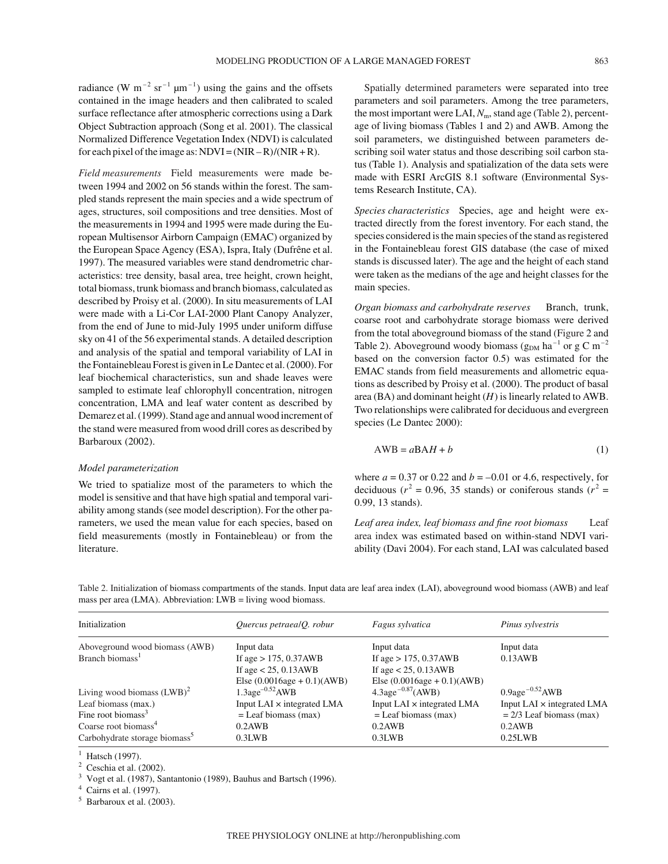radiance (W m<sup>-2</sup> sr<sup>-1</sup>  $\mu$ m<sup>-1</sup>) using the gains and the offsets contained in the image headers and then calibrated to scaled surface reflectance after atmospheric corrections using a Dark Object Subtraction approach (Song et al. 2001). The classical Normalized Difference Vegetation Index (NDVI) is calculated for each pixel of the image as:  $NDVI = (NIR - R)/(NIR + R)$ .

*Field measurements* Field measurements were made between 1994 and 2002 on 56 stands within the forest. The sampled stands represent the main species and a wide spectrum of ages, structures, soil compositions and tree densities. Most of the measurements in 1994 and 1995 were made during the European Multisensor Airborn Campaign (EMAC) organized by the European Space Agency (ESA), Ispra, Italy (Dufrêne et al. 1997). The measured variables were stand dendrometric characteristics: tree density, basal area, tree height, crown height, total biomass, trunk biomass and branch biomass, calculated as described by Proisy et al. (2000). In situ measurements of LAI were made with a Li-Cor LAI-2000 Plant Canopy Analyzer, from the end of June to mid-July 1995 under uniform diffuse sky on 41 of the 56 experimental stands. A detailed description and analysis of the spatial and temporal variability of LAI in the Fontainebleau Forest is given in Le Dantec et al. (2000). For leaf biochemical characteristics, sun and shade leaves were sampled to estimate leaf chlorophyll concentration, nitrogen concentration, LMA and leaf water content as described by Demarez et al. (1999). Stand age and annual wood increment of the stand were measured from wood drill cores as described by Barbaroux (2002).

## *Model parameterization*

We tried to spatialize most of the parameters to which the model is sensitive and that have high spatial and temporal variability among stands (see model description). For the other parameters, we used the mean value for each species, based on field measurements (mostly in Fontainebleau) or from the literature.

Spatially determined parameters were separated into tree parameters and soil parameters. Among the tree parameters, the most important were LAI,  $N_m$ , stand age (Table 2), percentage of living biomass (Tables 1 and 2) and AWB. Among the soil parameters, we distinguished between parameters describing soil water status and those describing soil carbon status (Table 1). Analysis and spatialization of the data sets were made with ESRI ArcGIS 8.1 software (Environmental Systems Research Institute, CA).

*Species characteristics* Species, age and height were extracted directly from the forest inventory. For each stand, the species considered is the main species of the stand as registered in the Fontainebleau forest GIS database (the case of mixed stands is discussed later). The age and the height of each stand were taken as the medians of the age and height classes for the main species.

*Organ biomass and carbohydrate reserves* Branch, trunk, coarse root and carbohydrate storage biomass were derived from the total aboveground biomass of the stand (Figure 2 and Table 2). Aboveground woody biomass ( $g_{DM}$  ha<sup>-1</sup> or g C m<sup>-2</sup> based on the conversion factor 0.5) was estimated for the EMAC stands from field measurements and allometric equations as described by Proisy et al. (2000). The product of basal area (BA) and dominant height (*H*) is linearly related to AWB. Two relationships were calibrated for deciduous and evergreen species (Le Dantec 2000):

$$
AWB = aBAH + b \tag{1}
$$

where  $a = 0.37$  or 0.22 and  $b = -0.01$  or 4.6, respectively, for deciduous ( $r^2$  = 0.96, 35 stands) or coniferous stands ( $r^2$  = 0.99, 13 stands).

*Leaf area index, leaf biomass and fine root biomass* Leaf area index was estimated based on within-stand NDVI variability (Davi 2004). For each stand, LAI was calculated based

Table 2. Initialization of biomass compartments of the stands. Input data are leaf area index (LAI), aboveground wood biomass (AWB) and leaf mass per area (LMA). Abbreviation: LWB = living wood biomass.

| Initialization                            | Quercus petraealQ. robur          | Fagus sylvatica                               | Pinus sylvestris                            |  |
|-------------------------------------------|-----------------------------------|-----------------------------------------------|---------------------------------------------|--|
| Aboveground wood biomass (AWB)            | Input data                        | Input data                                    | Input data                                  |  |
| Branch biomass <sup>1</sup>               | If age $> 175$ , 0.37AWB          | If age $> 175$ , 0.37AWB                      | 0.13AWB                                     |  |
|                                           | If age $< 25$ , 0.13AWB           | If age $< 25$ , 0.13AWB                       |                                             |  |
|                                           | Else $(0.0016age + 0.1)(AWB)$     | Else $(0.0016age + 0.1)(AWB)$                 |                                             |  |
| Living wood biomass $(LWB)^2$             | $1.3$ age <sup>-0.52</sup> AWB    | $4.3$ age <sup><math>-0.87</math></sup> (AWB) | $0.9$ age <sup><math>-0.52</math></sup> AWB |  |
| Leaf biomass (max.)                       | Input LAI $\times$ integrated LMA | Input LAI $\times$ integrated LMA             | Input LAI $\times$ integrated LMA           |  |
| Fine root biomass $3$                     | $=$ Leaf biomass (max)            | $=$ Leaf biomass (max)                        | $= 2/3$ Leaf biomass (max)                  |  |
| Coarse root biomass <sup>4</sup>          | 0.2AWB                            | 0.2AWB                                        | 0.2AWB                                      |  |
| Carbohydrate storage biomass <sup>5</sup> | 0.3LWB                            | 0.3LWB                                        | 0.25LWB                                     |  |

 $1$  Hatsch (1997).

 $2$  Ceschia et al. (2002).

<sup>3</sup> Vogt et al. (1987), Santantonio (1989), Bauhus and Bartsch (1996).

 $4$  Cairns et al. (1997).

 $5$  Barbaroux et al. (2003).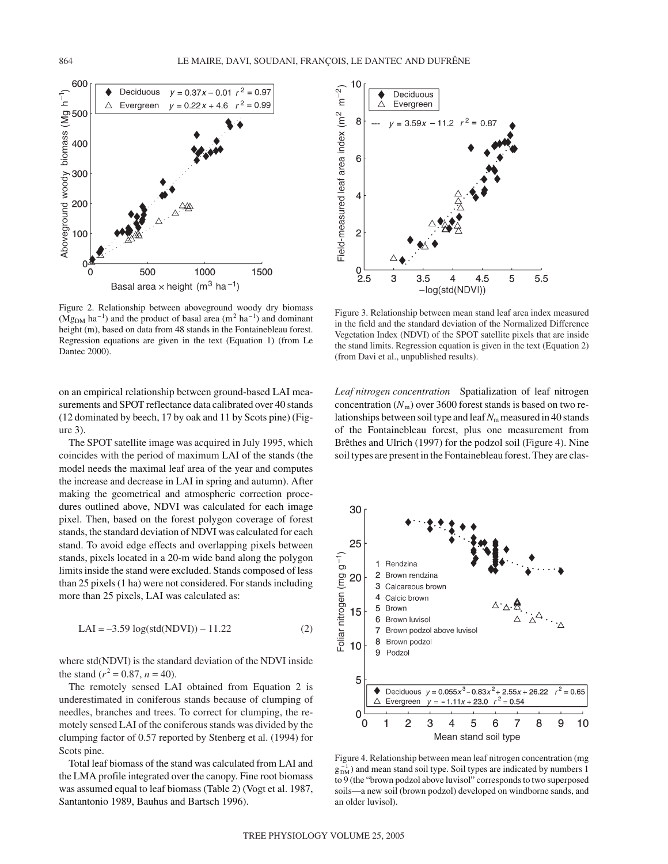

Figure 2. Relationship between aboveground woody dry biomass  $(Mg_{DM} \text{ ha}^{-1})$  and the product of basal area  $(m^2 \text{ ha}^{-1})$  and dominant height (m), based on data from 48 stands in the Fontainebleau forest. Regression equations are given in the text (Equation 1) (from Le Dantec 2000).

on an empirical relationship between ground-based LAI measurements and SPOT reflectance data calibrated over 40 stands (12 dominated by beech, 17 by oak and 11 by Scots pine) (Figure 3).

The SPOT satellite image was acquired in July 1995, which coincides with the period of maximum LAI of the stands (the model needs the maximal leaf area of the year and computes the increase and decrease in LAI in spring and autumn). After making the geometrical and atmospheric correction procedures outlined above, NDVI was calculated for each image pixel. Then, based on the forest polygon coverage of forest stands, the standard deviation of NDVI was calculated for each stand. To avoid edge effects and overlapping pixels between stands, pixels located in a 20-m wide band along the polygon limits inside the stand were excluded. Stands composed of less than 25 pixels (1 ha) were not considered. For stands including more than 25 pixels, LAI was calculated as:

$$
LAI = -3.59 \log(std(NDVI)) - 11.22
$$
 (2)

where std(NDVI) is the standard deviation of the NDVI inside the stand ( $r^2 = 0.87$ ,  $n = 40$ ).

The remotely sensed LAI obtained from Equation 2 is underestimated in coniferous stands because of clumping of needles, branches and trees. To correct for clumping, the remotely sensed LAI of the coniferous stands was divided by the clumping factor of 0.57 reported by Stenberg et al. (1994) for Scots pine.

Total leaf biomass of the stand was calculated from LAI and the LMA profile integrated over the canopy. Fine root biomass was assumed equal to leaf biomass (Table 2) (Vogt et al. 1987, Santantonio 1989, Bauhus and Bartsch 1996).



Figure 3. Relationship between mean stand leaf area index measured in the field and the standard deviation of the Normalized Difference Vegetation Index (NDVI) of the SPOT satellite pixels that are inside the stand limits. Regression equation is given in the text (Equation 2) (from Davi et al., unpublished results).

*Leaf nitrogen concentration* Spatialization of leaf nitrogen concentration  $(N<sub>m</sub>)$  over 3600 forest stands is based on two relationships between soil type and leaf  $N<sub>m</sub>$  measured in 40 stands of the Fontainebleau forest, plus one measurement from Brêthes and Ulrich (1997) for the podzol soil (Figure 4). Nine soil types are present in the Fontainebleau forest. They are clas-



Figure 4. Relationship between mean leaf nitrogen concentration (mg  $g_{DM}^{-1}$ ) and mean stand soil type. Soil types are indicated by numbers 1 to 9 (the "brown podzol above luvisol" corresponds to two superposed soils—a new soil (brown podzol) developed on windborne sands, and an older luvisol).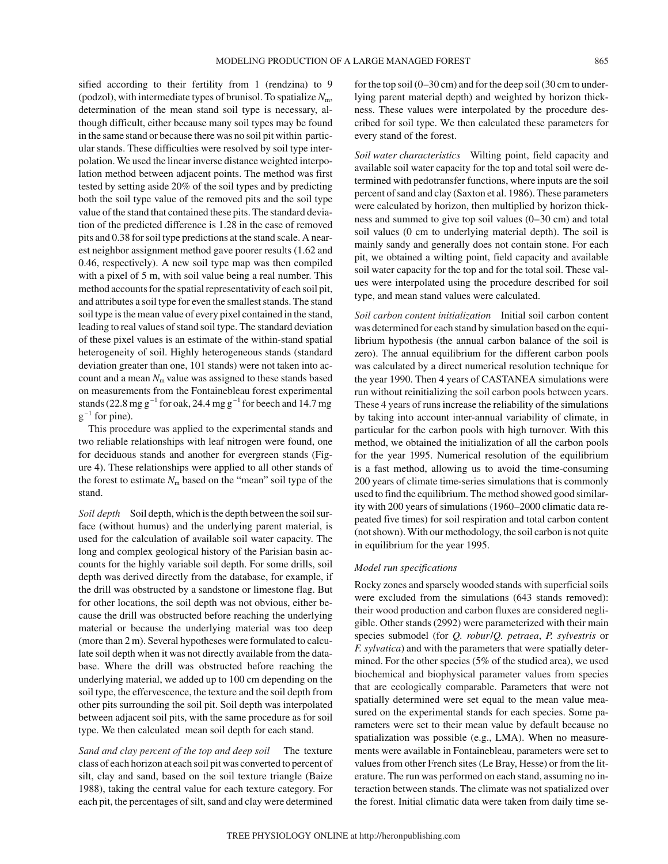sified according to their fertility from 1 (rendzina) to 9 (podzol), with intermediate types of brunisol. To spatialize  $N<sub>m</sub>$ , determination of the mean stand soil type is necessary, although difficult, either because many soil types may be found in the same stand or because there was no soil pit within particular stands. These difficulties were resolved by soil type interpolation. We used the linear inverse distance weighted interpolation method between adjacent points. The method was first tested by setting aside 20% of the soil types and by predicting both the soil type value of the removed pits and the soil type value of the stand that contained these pits. The standard deviation of the predicted difference is 1.28 in the case of removed pits and 0.38 for soil type predictions at the stand scale. A nearest neighbor assignment method gave poorer results (1.62 and 0.46, respectively). A new soil type map was then compiled with a pixel of 5 m, with soil value being a real number. This method accounts for the spatial representativity of each soil pit, and attributes a soil type for even the smallest stands. The stand soil type is the mean value of every pixel contained in the stand, leading to real values of stand soil type. The standard deviation of these pixel values is an estimate of the within-stand spatial heterogeneity of soil. Highly heterogeneous stands (standard deviation greater than one, 101 stands) were not taken into account and a mean  $N<sub>m</sub>$  value was assigned to these stands based on measurements from the Fontainebleau forest experimental stands (22.8 mg  $g^{-1}$  for oak, 24.4 mg  $g^{-1}$  for beech and 14.7 mg  $g^{-1}$  for pine).

This procedure was applied to the experimental stands and two reliable relationships with leaf nitrogen were found, one for deciduous stands and another for evergreen stands (Figure 4). These relationships were applied to all other stands of the forest to estimate  $N<sub>m</sub>$  based on the "mean" soil type of the stand.

*Soil depth* Soil depth, which is the depth between the soil surface (without humus) and the underlying parent material, is used for the calculation of available soil water capacity. The long and complex geological history of the Parisian basin accounts for the highly variable soil depth. For some drills, soil depth was derived directly from the database, for example, if the drill was obstructed by a sandstone or limestone flag. But for other locations, the soil depth was not obvious, either because the drill was obstructed before reaching the underlying material or because the underlying material was too deep (more than 2 m). Several hypotheses were formulated to calculate soil depth when it was not directly available from the database. Where the drill was obstructed before reaching the underlying material, we added up to 100 cm depending on the soil type, the effervescence, the texture and the soil depth from other pits surrounding the soil pit. Soil depth was interpolated between adjacent soil pits, with the same procedure as for soil type. We then calculated mean soil depth for each stand.

*Sand and clay percent of the top and deep soil* The texture class of each horizon at each soil pit was converted to percent of silt, clay and sand, based on the soil texture triangle (Baize 1988), taking the central value for each texture category. For each pit, the percentages of silt, sand and clay were determined for the top soil (0–30 cm) and for the deep soil (30 cm to underlying parent material depth) and weighted by horizon thickness. These values were interpolated by the procedure described for soil type. We then calculated these parameters for every stand of the forest.

*Soil water characteristics* Wilting point, field capacity and available soil water capacity for the top and total soil were determined with pedotransfer functions, where inputs are the soil percent of sand and clay (Saxton et al. 1986). These parameters were calculated by horizon, then multiplied by horizon thickness and summed to give top soil values (0–30 cm) and total soil values (0 cm to underlying material depth). The soil is mainly sandy and generally does not contain stone. For each pit, we obtained a wilting point, field capacity and available soil water capacity for the top and for the total soil. These values were interpolated using the procedure described for soil type, and mean stand values were calculated.

*Soil carbon content initialization* Initial soil carbon content was determined for each stand by simulation based on the equilibrium hypothesis (the annual carbon balance of the soil is zero). The annual equilibrium for the different carbon pools was calculated by a direct numerical resolution technique for the year 1990. Then 4 years of CASTANEA simulations were run without reinitializing the soil carbon pools between years. These 4 years of runs increase the reliability of the simulations by taking into account inter-annual variability of climate, in particular for the carbon pools with high turnover. With this method, we obtained the initialization of all the carbon pools for the year 1995. Numerical resolution of the equilibrium is a fast method, allowing us to avoid the time-consuming 200 years of climate time-series simulations that is commonly used to find the equilibrium. The method showed good similarity with 200 years of simulations (1960–2000 climatic data repeated five times) for soil respiration and total carbon content (not shown). With our methodology, the soil carbon is not quite in equilibrium for the year 1995.

## *Model run specifications*

Rocky zones and sparsely wooded stands with superficial soils were excluded from the simulations (643 stands removed): their wood production and carbon fluxes are considered negligible. Other stands (2992) were parameterized with their main species submodel (for *Q. robur*/*Q. petraea*, *P. sylvestris* or *F. sylvatica*) and with the parameters that were spatially determined. For the other species (5% of the studied area), we used biochemical and biophysical parameter values from species that are ecologically comparable. Parameters that were not spatially determined were set equal to the mean value measured on the experimental stands for each species. Some parameters were set to their mean value by default because no spatialization was possible (e.g., LMA). When no measurements were available in Fontainebleau, parameters were set to values from other French sites (Le Bray, Hesse) or from the literature. The run was performed on each stand, assuming no interaction between stands. The climate was not spatialized over the forest. Initial climatic data were taken from daily time se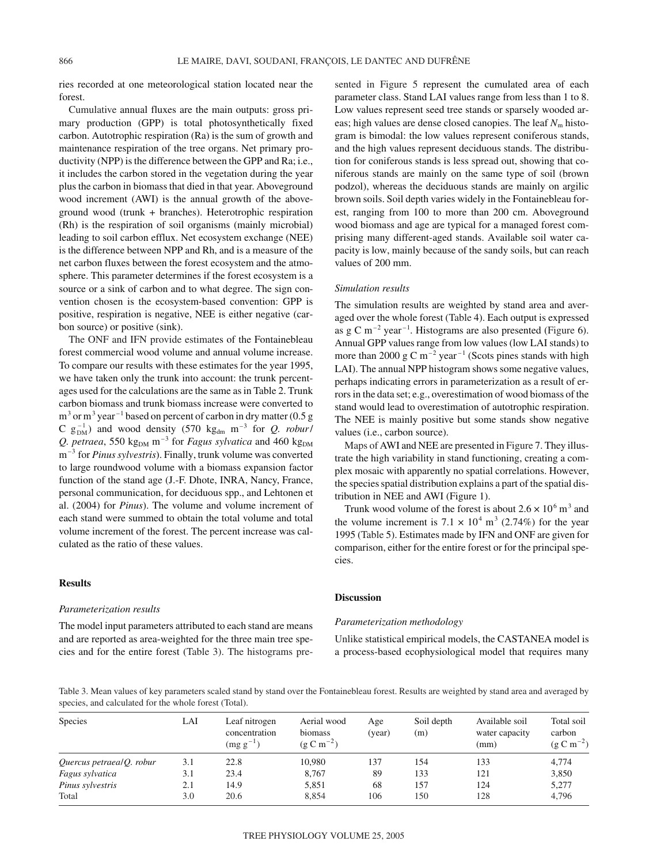ries recorded at one meteorological station located near the forest.

Cumulative annual fluxes are the main outputs: gross primary production (GPP) is total photosynthetically fixed carbon. Autotrophic respiration (Ra) is the sum of growth and maintenance respiration of the tree organs. Net primary productivity (NPP) is the difference between the GPP and Ra; i.e., it includes the carbon stored in the vegetation during the year plus the carbon in biomass that died in that year. Aboveground wood increment (AWI) is the annual growth of the aboveground wood (trunk + branches). Heterotrophic respiration (Rh) is the respiration of soil organisms (mainly microbial) leading to soil carbon efflux. Net ecosystem exchange (NEE) is the difference between NPP and Rh, and is a measure of the net carbon fluxes between the forest ecosystem and the atmosphere. This parameter determines if the forest ecosystem is a source or a sink of carbon and to what degree. The sign convention chosen is the ecosystem-based convention: GPP is positive, respiration is negative, NEE is either negative (carbon source) or positive (sink).

The ONF and IFN provide estimates of the Fontainebleau forest commercial wood volume and annual volume increase. To compare our results with these estimates for the year 1995, we have taken only the trunk into account: the trunk percentages used for the calculations are the same as in Table 2. Trunk carbon biomass and trunk biomass increase were converted to  $m<sup>3</sup>$  or  $m<sup>3</sup>$  year<sup>-1</sup> based on percent of carbon in dry matter (0.5 g C  $g_{DM}^{-1}$ ) and wood density (570 kg<sub>dm</sub> m<sup>-3</sup> for *Q. robur*/ *Q. petraea*, 550 kg<sub>DM</sub> m<sup>-3</sup> for *Fagus sylvatica* and 460 kg<sub>DM</sub> m–3 for *Pinus sylvestris*). Finally, trunk volume was converted to large roundwood volume with a biomass expansion factor function of the stand age (J.-F. Dhote, INRA, Nancy, France, personal communication, for deciduous spp., and Lehtonen et al. (2004) for *Pinus*). The volume and volume increment of each stand were summed to obtain the total volume and total volume increment of the forest. The percent increase was calculated as the ratio of these values.

## **Results**

#### *Parameterization results*

The model input parameters attributed to each stand are means and are reported as area-weighted for the three main tree species and for the entire forest (Table 3). The histograms presented in Figure 5 represent the cumulated area of each parameter class. Stand LAI values range from less than 1 to 8. Low values represent seed tree stands or sparsely wooded areas; high values are dense closed canopies. The leaf  $N<sub>m</sub>$  histogram is bimodal: the low values represent coniferous stands, and the high values represent deciduous stands. The distribution for coniferous stands is less spread out, showing that coniferous stands are mainly on the same type of soil (brown podzol), whereas the deciduous stands are mainly on argilic brown soils. Soil depth varies widely in the Fontainebleau forest, ranging from 100 to more than 200 cm. Aboveground wood biomass and age are typical for a managed forest comprising many different-aged stands. Available soil water capacity is low, mainly because of the sandy soils, but can reach values of 200 mm.

## *Simulation results*

The simulation results are weighted by stand area and averaged over the whole forest (Table 4). Each output is expressed as g C m<sup>-2</sup> year<sup>-1</sup>. Histograms are also presented (Figure 6). Annual GPP values range from low values (low LAI stands) to more than 2000 g C m<sup>-2</sup> year<sup>-1</sup> (Scots pines stands with high LAI). The annual NPP histogram shows some negative values, perhaps indicating errors in parameterization as a result of errors in the data set; e.g., overestimation of wood biomass of the stand would lead to overestimation of autotrophic respiration. The NEE is mainly positive but some stands show negative values (i.e., carbon source).

Maps of AWI and NEE are presented in Figure 7. They illustrate the high variability in stand functioning, creating a complex mosaic with apparently no spatial correlations. However, the species spatial distribution explains a part of the spatial distribution in NEE and AWI (Figure 1).

Trunk wood volume of the forest is about  $2.6 \times 10^6$  m<sup>3</sup> and the volume increment is  $7.1 \times 10^4$  m<sup>3</sup> (2.74%) for the year 1995 (Table 5). Estimates made by IFN and ONF are given for comparison, either for the entire forest or for the principal species.

## **Discussion**

#### *Parameterization methodology*

Unlike statistical empirical models, the CASTANEA model is a process-based ecophysiological model that requires many

Table 3. Mean values of key parameters scaled stand by stand over the Fontainebleau forest. Results are weighted by stand area and averaged by species, and calculated for the whole forest (Total).

| <b>Species</b>            | LAI | Leaf nitrogen<br>concentration<br>$\left(\text{mg g}^{-1}\right)$ | Aerial wood<br>biomass<br>$(g C m^{-2})$ | Age<br>(year) | Soil depth<br>(m) | Available soil<br>water capacity<br>(mm) | Total soil<br>carbon<br>$(g C m^{-2})$ |
|---------------------------|-----|-------------------------------------------------------------------|------------------------------------------|---------------|-------------------|------------------------------------------|----------------------------------------|
| Quercus petraeal Q. robur | 3.1 | 22.8                                                              | 10.980                                   | 137           | 154               | 133                                      | 4,774                                  |
| Fagus sylvatica           | 3.1 | 23.4                                                              | 8.767                                    | 89            | 133               | 121                                      | 3,850                                  |
| Pinus sylvestris          | 2.1 | 14.9                                                              | 5.851                                    | 68            | 157               | 124                                      | 5,277                                  |
| Total                     | 3.0 | 20.6                                                              | 8.854                                    | 106           | 150               | 128                                      | 4,796                                  |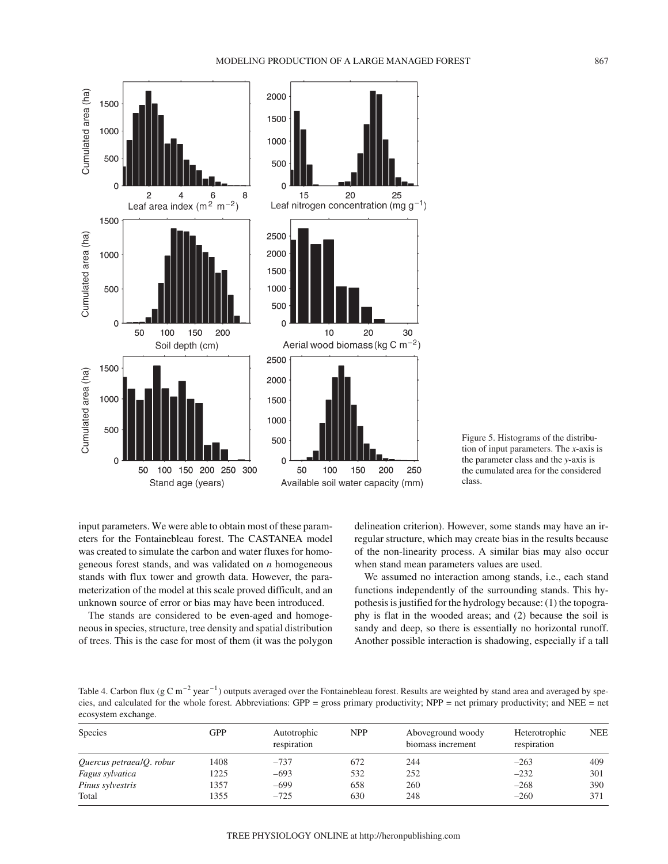



input parameters. We were able to obtain most of these parameters for the Fontainebleau forest. The CASTANEA model was created to simulate the carbon and water fluxes for homogeneous forest stands, and was validated on *n* homogeneous stands with flux tower and growth data. However, the parameterization of the model at this scale proved difficult, and an unknown source of error or bias may have been introduced.

The stands are considered to be even-aged and homogeneous in species, structure, tree density and spatial distribution of trees. This is the case for most of them (it was the polygon delineation criterion). However, some stands may have an irregular structure, which may create bias in the results because of the non-linearity process. A similar bias may also occur when stand mean parameters values are used.

We assumed no interaction among stands, i.e., each stand functions independently of the surrounding stands. This hypothesis is justified for the hydrology because: (1) the topography is flat in the wooded areas; and (2) because the soil is sandy and deep, so there is essentially no horizontal runoff. Another possible interaction is shadowing, especially if a tall

Table 4. Carbon flux ( $g \text{ C m}^{-2}$  year<sup>-1</sup>) outputs averaged over the Fontainebleau forest. Results are weighted by stand area and averaged by species, and calculated for the whole forest. Abbreviations: GPP = gross primary productivity; NPP = net primary productivity; and NEE = net ecosystem exchange.

| <b>Species</b>               | GPP  | Autotrophic<br>respiration | <b>NPP</b> | Aboveground woody<br>biomass increment | Heterotrophic<br>respiration | <b>NEE</b> |  |
|------------------------------|------|----------------------------|------------|----------------------------------------|------------------------------|------------|--|
| Quercus petraeal $Q$ . robur | 1408 | $-737$                     | 672        | 244                                    | $-263$                       | 409        |  |
| Fagus sylvatica              | 1225 | $-693$                     | 532        | 252                                    | $-232$                       | 301        |  |
| Pinus sylvestris             | 1357 | $-699$                     | 658        | 260                                    | $-268$                       | 390        |  |
| Total                        | 1355 | $-725$                     | 630        | 248                                    | $-260$                       | 371        |  |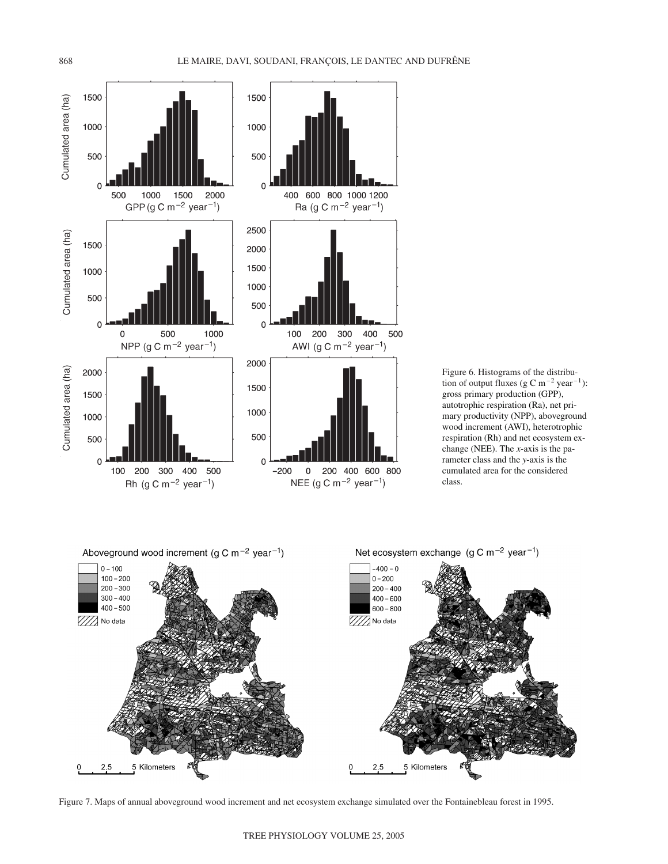

Figure 6. Histograms of the distribution of output fluxes (g C m<sup>-2</sup> year<sup>-1</sup>): gross primary production (GPP), autotrophic respiration (Ra), net primary productivity (NPP), aboveground wood increment (AWI), heterotrophic respiration (Rh) and net ecosystem exchange (NEE). The *x*-axis is the parameter class and the *y*-axis is the cumulated area for the considered class.



Figure 7. Maps of annual aboveground wood increment and net ecosystem exchange simulated over the Fontainebleau forest in 1995.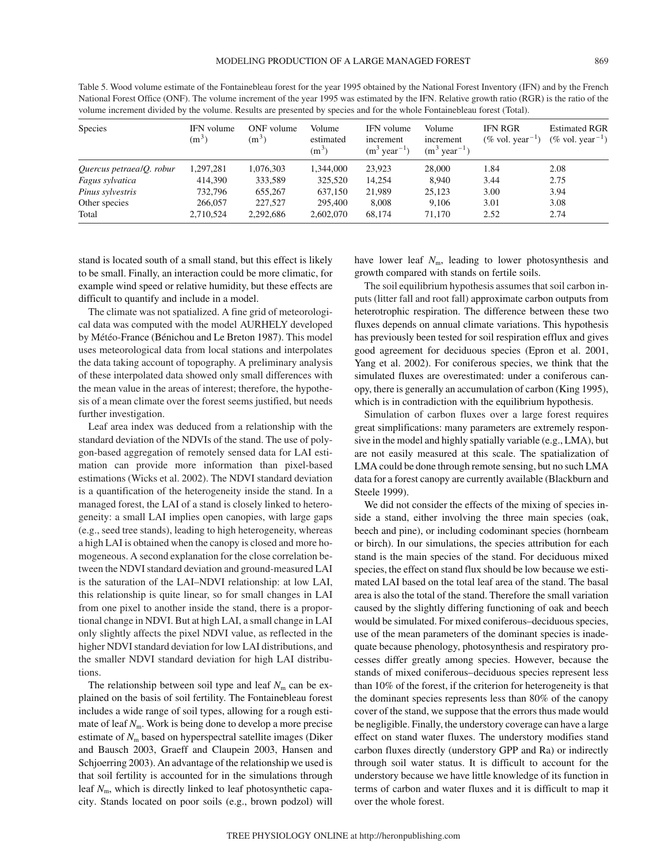Table 5. Wood volume estimate of the Fontainebleau forest for the year 1995 obtained by the National Forest Inventory (IFN) and by the French National Forest Office (ONF). The volume increment of the year 1995 was estimated by the IFN. Relative growth ratio (RGR) is the ratio of the volume increment divided by the volume. Results are presented by species and for the whole Fontainebleau forest (Total). Species IFN volume ONF volume Volume IFN volume Volume IFN RGR Estimated RGR

| <b>Species</b>           | IFN volume<br>$(m^3)$ | ONF volume<br>$(m^3)$ | Volume<br>estimated<br>$(m^3)$ | IFN volume<br>increment<br>$(m^3 \text{ year}^{-1})$ | Volume<br>increment<br>$(m3 year-1)$ | <b>IFN RGR</b><br>$(\% \text{ vol. year}^{-1})$ | <b>Estimated RGR</b><br>$(\%$ vol. year <sup>-1</sup> ) |
|--------------------------|-----------------------|-----------------------|--------------------------------|------------------------------------------------------|--------------------------------------|-------------------------------------------------|---------------------------------------------------------|
| Quercus petraealQ. robur | 1,297,281             | 1,076,303             | 1.344,000                      | 23.923                                               | 28,000                               | 1.84                                            | 2.08                                                    |
| Fagus sylvatica          | 414,390               | 333,589               | 325,520                        | 14.254                                               | 8.940                                | 3.44                                            | 2.75                                                    |
| Pinus sylvestris         | 732,796               | 655,267               | 637.150                        | 21,989                                               | 25,123                               | 3.00                                            | 3.94                                                    |
| Other species            | 266,057               | 227,527               | 295,400                        | 8.008                                                | 9.106                                | 3.01                                            | 3.08                                                    |
| Total                    | 2,710,524             | 2,292,686             | 2,602,070                      | 68.174                                               | 71.170                               | 2.52                                            | 2.74                                                    |

stand is located south of a small stand, but this effect is likely to be small. Finally, an interaction could be more climatic, for example wind speed or relative humidity, but these effects are difficult to quantify and include in a model.

The climate was not spatialized. A fine grid of meteorological data was computed with the model AURHELY developed by Météo-France (Bénichou and Le Breton 1987). This model uses meteorological data from local stations and interpolates the data taking account of topography. A preliminary analysis of these interpolated data showed only small differences with the mean value in the areas of interest; therefore, the hypothesis of a mean climate over the forest seems justified, but needs further investigation.

Leaf area index was deduced from a relationship with the standard deviation of the NDVIs of the stand. The use of polygon-based aggregation of remotely sensed data for LAI estimation can provide more information than pixel-based estimations (Wicks et al. 2002). The NDVI standard deviation is a quantification of the heterogeneity inside the stand. In a managed forest, the LAI of a stand is closely linked to heterogeneity: a small LAI implies open canopies, with large gaps (e.g., seed tree stands), leading to high heterogeneity, whereas a high LAI is obtained when the canopy is closed and more homogeneous. A second explanation for the close correlation between the NDVI standard deviation and ground-measured LAI is the saturation of the LAI–NDVI relationship: at low LAI, this relationship is quite linear, so for small changes in LAI from one pixel to another inside the stand, there is a proportional change in NDVI. But at high LAI, a small change in LAI only slightly affects the pixel NDVI value, as reflected in the higher NDVI standard deviation for low LAI distributions, and the smaller NDVI standard deviation for high LAI distributions.

The relationship between soil type and leaf  $N<sub>m</sub>$  can be explained on the basis of soil fertility. The Fontainebleau forest includes a wide range of soil types, allowing for a rough estimate of leaf  $N_m$ . Work is being done to develop a more precise estimate of *N*<sup>m</sup> based on hyperspectral satellite images (Diker and Bausch 2003, Graeff and Claupein 2003, Hansen and Schjoerring 2003). An advantage of the relationship we used is that soil fertility is accounted for in the simulations through leaf *N*m, which is directly linked to leaf photosynthetic capacity. Stands located on poor soils (e.g., brown podzol) will

have lower leaf  $N<sub>m</sub>$ , leading to lower photosynthesis and growth compared with stands on fertile soils.

The soil equilibrium hypothesis assumes that soil carbon inputs (litter fall and root fall) approximate carbon outputs from heterotrophic respiration. The difference between these two fluxes depends on annual climate variations. This hypothesis has previously been tested for soil respiration efflux and gives good agreement for deciduous species (Epron et al. 2001, Yang et al. 2002). For coniferous species, we think that the simulated fluxes are overestimated: under a coniferous canopy, there is generally an accumulation of carbon (King 1995), which is in contradiction with the equilibrium hypothesis.

Simulation of carbon fluxes over a large forest requires great simplifications: many parameters are extremely responsive in the model and highly spatially variable (e.g., LMA), but are not easily measured at this scale. The spatialization of LMA could be done through remote sensing, but no such LMA data for a forest canopy are currently available (Blackburn and Steele 1999).

We did not consider the effects of the mixing of species inside a stand, either involving the three main species (oak, beech and pine), or including codominant species (hornbeam or birch). In our simulations, the species attribution for each stand is the main species of the stand. For deciduous mixed species, the effect on stand flux should be low because we estimated LAI based on the total leaf area of the stand. The basal area is also the total of the stand. Therefore the small variation caused by the slightly differing functioning of oak and beech would be simulated. For mixed coniferous–deciduous species, use of the mean parameters of the dominant species is inadequate because phenology, photosynthesis and respiratory processes differ greatly among species. However, because the stands of mixed coniferous–deciduous species represent less than 10% of the forest, if the criterion for heterogeneity is that the dominant species represents less than 80% of the canopy cover of the stand, we suppose that the errors thus made would be negligible. Finally, the understory coverage can have a large effect on stand water fluxes. The understory modifies stand carbon fluxes directly (understory GPP and Ra) or indirectly through soil water status. It is difficult to account for the understory because we have little knowledge of its function in terms of carbon and water fluxes and it is difficult to map it over the whole forest.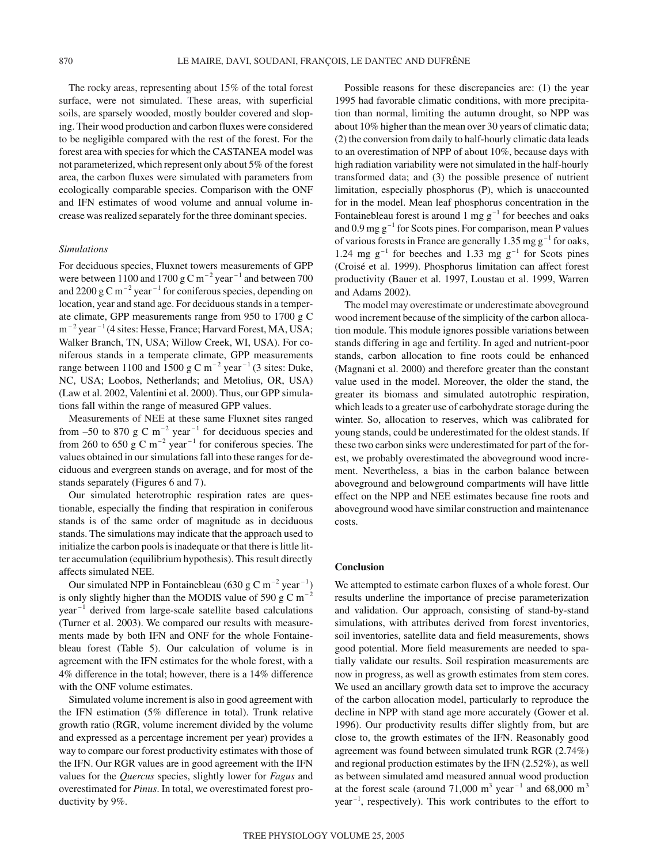The rocky areas, representing about 15% of the total forest surface, were not simulated. These areas, with superficial soils, are sparsely wooded, mostly boulder covered and sloping. Their wood production and carbon fluxes were considered to be negligible compared with the rest of the forest. For the forest area with species for which the CASTANEA model was not parameterized, which represent only about 5% of the forest area, the carbon fluxes were simulated with parameters from ecologically comparable species. Comparison with the ONF and IFN estimates of wood volume and annual volume increase was realized separately for the three dominant species.

### *Simulations*

For deciduous species, Fluxnet towers measurements of GPP were between 1100 and 1700 g C m<sup>-2</sup> year<sup>-1</sup> and between 700 and 2200 g C m<sup>-2</sup> year<sup>-1</sup> for coniferous species, depending on location, year and stand age. For deciduous stands in a temperate climate, GPP measurements range from 950 to 1700 g C  $m^{-2}$  year<sup> $-1$ </sup> (4 sites: Hesse, France; Harvard Forest, MA, USA; Walker Branch, TN, USA; Willow Creek, WI, USA). For coniferous stands in a temperate climate, GPP measurements range between 1100 and 1500 g C m<sup>-2</sup> year<sup>-1</sup> (3 sites: Duke, NC, USA; Loobos, Netherlands; and Metolius, OR, USA) (Law et al. 2002, Valentini et al. 2000). Thus, our GPP simulations fall within the range of measured GPP values.

Measurements of NEE at these same Fluxnet sites ranged from  $-50$  to 870 g C m<sup>-2</sup> year<sup>-1</sup> for deciduous species and from 260 to 650 g C  $m^{-2}$  year<sup>-1</sup> for coniferous species. The values obtained in our simulations fall into these ranges for deciduous and evergreen stands on average, and for most of the stands separately (Figures 6 and 7).

Our simulated heterotrophic respiration rates are questionable, especially the finding that respiration in coniferous stands is of the same order of magnitude as in deciduous stands. The simulations may indicate that the approach used to initialize the carbon pools is inadequate or that there is little litter accumulation (equilibrium hypothesis). This result directly affects simulated NEE.

Our simulated NPP in Fontainebleau (630 g C m<sup>-2</sup> year<sup>-1</sup>) is only slightly higher than the MODIS value of 590 g C m<sup>-2</sup>  $year<sup>-1</sup>$  derived from large-scale satellite based calculations (Turner et al. 2003). We compared our results with measurements made by both IFN and ONF for the whole Fontainebleau forest (Table 5). Our calculation of volume is in agreement with the IFN estimates for the whole forest, with a 4% difference in the total; however, there is a 14% difference with the ONF volume estimates.

Simulated volume increment is also in good agreement with the IFN estimation (5% difference in total). Trunk relative growth ratio (RGR, volume increment divided by the volume and expressed as a percentage increment per year) provides a way to compare our forest productivity estimates with those of the IFN. Our RGR values are in good agreement with the IFN values for the *Quercus* species, slightly lower for *Fagus* and overestimated for *Pinus*. In total, we overestimated forest productivity by 9%.

Possible reasons for these discrepancies are: (1) the year 1995 had favorable climatic conditions, with more precipitation than normal, limiting the autumn drought, so NPP was about 10% higher than the mean over 30 years of climatic data; (2) the conversion from daily to half-hourly climatic data leads to an overestimation of NPP of about 10%, because days with high radiation variability were not simulated in the half-hourly transformed data; and (3) the possible presence of nutrient limitation, especially phosphorus (P), which is unaccounted for in the model. Mean leaf phosphorus concentration in the Fontainebleau forest is around 1 mg  $g^{-1}$  for beeches and oaks and  $0.9 \text{ mg g}^{-1}$  for Scots pines. For comparison, mean P values of various forests in France are generally 1.35 mg  $g^{-1}$  for oaks, 1.24 mg  $g^{-1}$  for beeches and 1.33 mg  $g^{-1}$  for Scots pines (Croisé et al. 1999). Phosphorus limitation can affect forest productivity (Bauer et al. 1997, Loustau et al. 1999, Warren and Adams 2002).

The model may overestimate or underestimate aboveground wood increment because of the simplicity of the carbon allocation module. This module ignores possible variations between stands differing in age and fertility. In aged and nutrient-poor stands, carbon allocation to fine roots could be enhanced (Magnani et al. 2000) and therefore greater than the constant value used in the model. Moreover, the older the stand, the greater its biomass and simulated autotrophic respiration, which leads to a greater use of carbohydrate storage during the winter. So, allocation to reserves, which was calibrated for young stands, could be underestimated for the oldest stands. If these two carbon sinks were underestimated for part of the forest, we probably overestimated the aboveground wood increment. Nevertheless, a bias in the carbon balance between aboveground and belowground compartments will have little effect on the NPP and NEE estimates because fine roots and aboveground wood have similar construction and maintenance costs.

## **Conclusion**

We attempted to estimate carbon fluxes of a whole forest. Our results underline the importance of precise parameterization and validation. Our approach, consisting of stand-by-stand simulations, with attributes derived from forest inventories, soil inventories, satellite data and field measurements, shows good potential. More field measurements are needed to spatially validate our results. Soil respiration measurements are now in progress, as well as growth estimates from stem cores. We used an ancillary growth data set to improve the accuracy of the carbon allocation model, particularly to reproduce the decline in NPP with stand age more accurately (Gower et al. 1996). Our productivity results differ slightly from, but are close to, the growth estimates of the IFN. Reasonably good agreement was found between simulated trunk RGR (2.74%) and regional production estimates by the IFN (2.52%), as well as between simulated amd measured annual wood production at the forest scale (around 71,000 m<sup>3</sup> year<sup>-1</sup> and 68,000 m<sup>3</sup>  $year<sup>-1</sup>$ , respectively). This work contributes to the effort to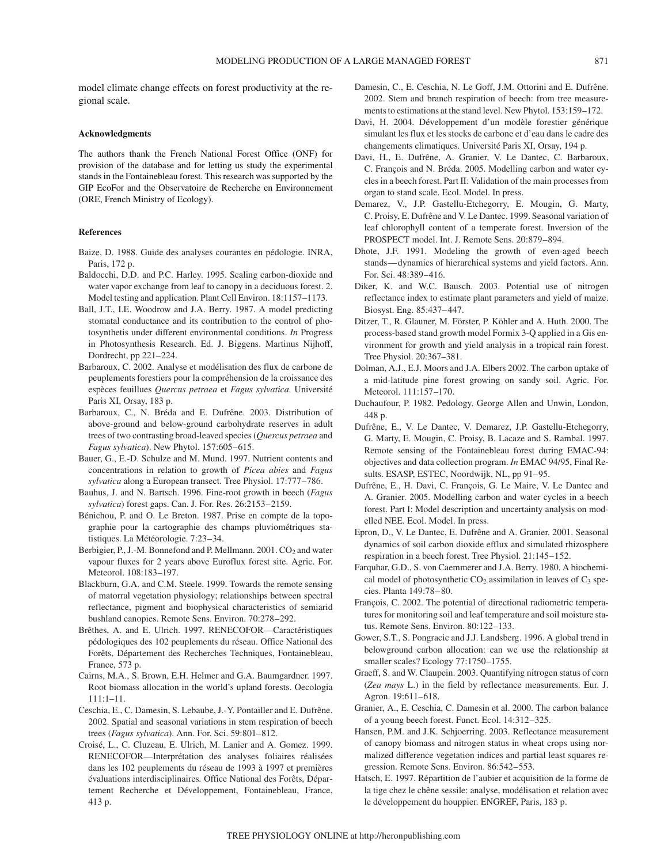model climate change effects on forest productivity at the regional scale.

#### **Acknowledgments**

The authors thank the French National Forest Office (ONF) for provision of the database and for letting us study the experimental stands in the Fontainebleau forest. This research was supported by the GIP EcoFor and the Observatoire de Recherche en Environnement (ORE, French Ministry of Ecology).

### **References**

- Baize, D. 1988. Guide des analyses courantes en pédologie. INRA, Paris, 172 p.
- Baldocchi, D.D. and P.C. Harley. 1995. Scaling carbon-dioxide and water vapor exchange from leaf to canopy in a deciduous forest. 2. Model testing and application. Plant Cell Environ. 18:1157–1173.
- Ball, J.T., I.E. Woodrow and J.A. Berry. 1987. A model predicting stomatal conductance and its contribution to the control of photosynthetis under different environmental conditions. *In* Progress in Photosynthesis Research. Ed. J. Biggens. Martinus Nijhoff, Dordrecht, pp 221–224.
- Barbaroux, C. 2002. Analyse et modélisation des flux de carbone de peuplements forestiers pour la compréhension de la croissance des espèces feuillues *Quercus petraea* et *Fagus sylvatica*. Université Paris XI, Orsay, 183 p.
- Barbaroux, C., N. Bréda and E. Dufrêne. 2003. Distribution of above-ground and below-ground carbohydrate reserves in adult trees of two contrasting broad-leaved species (*Quercus petraea* and *Fagus sylvatica*). New Phytol. 157:605–615.
- Bauer, G., E.-D. Schulze and M. Mund. 1997. Nutrient contents and concentrations in relation to growth of *Picea abies* and *Fagus sylvatica* along a European transect. Tree Physiol. 17:777–786.
- Bauhus, J. and N. Bartsch. 1996. Fine-root growth in beech (*Fagus sylvatica*) forest gaps. Can. J. For. Res. 26:2153–2159.
- Bénichou, P. and O. Le Breton. 1987. Prise en compte de la topographie pour la cartographie des champs pluviométriques statistiques. La Météorologie. 7:23–34.
- Berbigier, P., J.-M. Bonnefond and P. Mellmann.  $2001$ .  $CO<sub>2</sub>$  and water vapour fluxes for 2 years above Euroflux forest site. Agric. For. Meteorol. 108:183–197.
- Blackburn, G.A. and C.M. Steele. 1999. Towards the remote sensing of matorral vegetation physiology; relationships between spectral reflectance, pigment and biophysical characteristics of semiarid bushland canopies. Remote Sens. Environ. 70:278–292.
- Brêthes, A. and E. Ulrich. 1997. RENECOFOR—Caractéristiques pédologiques des 102 peuplements du réseau. Office National des Forêts, Département des Recherches Techniques, Fontainebleau, France, 573 p.
- Cairns, M.A., S. Brown, E.H. Helmer and G.A. Baumgardner. 1997. Root biomass allocation in the world's upland forests. Oecologia 111:1–11.
- Ceschia, E., C. Damesin, S. Lebaube, J.-Y. Pontailler and E. Dufrêne. 2002. Spatial and seasonal variations in stem respiration of beech trees (*Fagus sylvatica*). Ann. For. Sci. 59:801–812.
- Croisé, L., C. Cluzeau, E. Ulrich, M. Lanier and A. Gomez. 1999. RENECOFOR—Interprétation des analyses foliaires réalisées dans les 102 peuplements du réseau de 1993 à 1997 et premières évaluations interdisciplinaires. Office National des Forêts, Département Recherche et Développement, Fontainebleau, France, 413 p.
- Damesin, C., E. Ceschia, N. Le Goff, J.M. Ottorini and E. Dufrêne. 2002. Stem and branch respiration of beech: from tree measurements to estimations at the stand level. New Phytol. 153:159–172.
- Davi, H. 2004. Développement d'un modèle forestier générique simulant les flux et les stocks de carbone et d'eau dans le cadre des changements climatiques. Université Paris XI, Orsay, 194 p.
- Davi, H., E. Dufrêne, A. Granier, V. Le Dantec, C. Barbaroux, C. François and N. Bréda. 2005. Modelling carbon and water cycles in a beech forest. Part II: Validation of the main processes from organ to stand scale. Ecol. Model. In press.
- Demarez, V., J.P. Gastellu-Etchegorry, E. Mougin, G. Marty, C. Proisy, E. Dufrêne and V. Le Dantec. 1999. Seasonal variation of leaf chlorophyll content of a temperate forest. Inversion of the PROSPECT model. Int. J. Remote Sens. 20:879–894.
- Dhote, J.F. 1991. Modeling the growth of even-aged beech stands—dynamics of hierarchical systems and yield factors. Ann. For. Sci. 48:389–416.
- Diker, K. and W.C. Bausch. 2003. Potential use of nitrogen reflectance index to estimate plant parameters and yield of maize. Biosyst. Eng. 85:437–447.
- Ditzer, T., R. Glauner, M. Förster, P. Köhler and A. Huth. 2000. The process-based stand growth model Formix 3-Q applied in a Gis environment for growth and yield analysis in a tropical rain forest. Tree Physiol. 20:367–381.
- Dolman, A.J., E.J. Moors and J.A. Elbers 2002. The carbon uptake of a mid-latitude pine forest growing on sandy soil. Agric. For. Meteorol. 111:157–170.
- Duchaufour, P. 1982. Pedology. George Allen and Unwin, London, 448 p.
- Dufrêne, E., V. Le Dantec, V. Demarez, J.P. Gastellu-Etchegorry, G. Marty, E. Mougin, C. Proisy, B. Lacaze and S. Rambal. 1997. Remote sensing of the Fontainebleau forest during EMAC-94: objectives and data collection program. *In* EMAC 94/95, Final Results. ESASP, ESTEC, Noordwijk, NL, pp 91–95.
- Dufrêne, E., H. Davi, C. François, G. Le Maire, V. Le Dantec and A. Granier. 2005. Modelling carbon and water cycles in a beech forest. Part I: Model description and uncertainty analysis on modelled NEE. Ecol. Model. In press.
- Epron, D., V. Le Dantec, E. Dufrêne and A. Granier. 2001. Seasonal dynamics of soil carbon dioxide efflux and simulated rhizosphere respiration in a beech forest. Tree Physiol. 21:145–152.
- Farquhar, G.D., S. von Caemmerer and J.A. Berry. 1980. A biochemical model of photosynthetic  $CO<sub>2</sub>$  assimilation in leaves of  $C<sub>3</sub>$  species. Planta 149:78–80.
- François, C. 2002. The potential of directional radiometric temperatures for monitoring soil and leaf temperature and soil moisture status. Remote Sens. Environ. 80:122–133.
- Gower, S.T., S. Pongracic and J.J. Landsberg. 1996. A global trend in belowground carbon allocation: can we use the relationship at smaller scales? Ecology 77:1750–1755.
- Graeff, S. and W. Claupein. 2003. Quantifying nitrogen status of corn (*Zea mays* L.) in the field by reflectance measurements. Eur. J. Agron. 19:611–618.
- Granier, A., E. Ceschia, C. Damesin et al. 2000. The carbon balance of a young beech forest. Funct. Ecol. 14:312–325.
- Hansen, P.M. and J.K. Schjoerring. 2003. Reflectance measurement of canopy biomass and nitrogen status in wheat crops using normalized difference vegetation indices and partial least squares regression. Remote Sens. Environ. 86:542–553.
- Hatsch, E. 1997. Répartition de l'aubier et acquisition de la forme de la tige chez le chêne sessile: analyse, modélisation et relation avec le développement du houppier. ENGREF, Paris, 183 p.